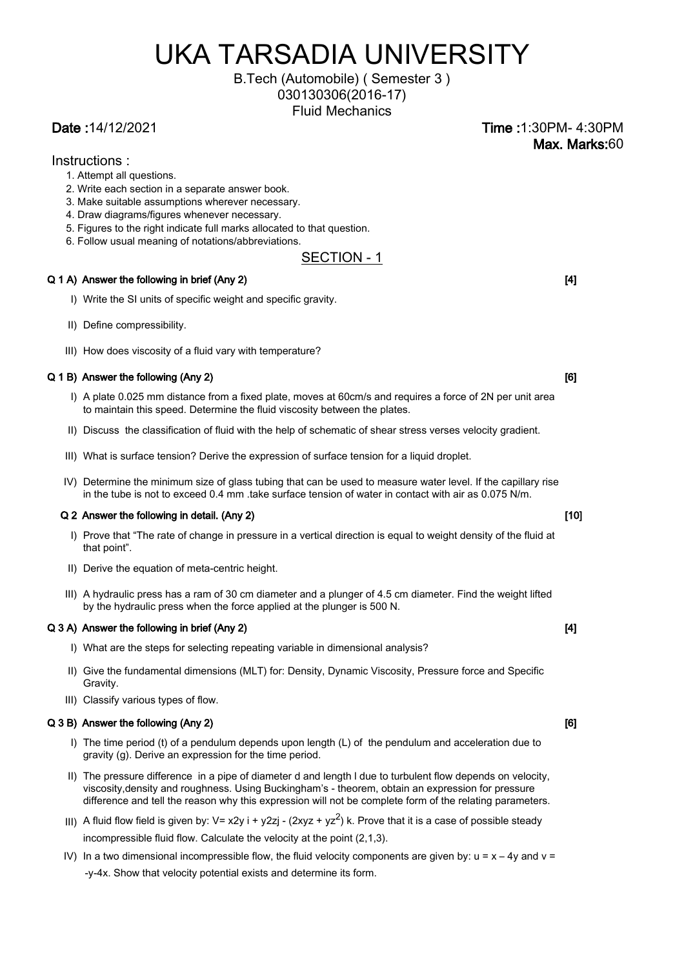# UKA TARSADIA UNIVERSITY

## B.Tech (Automobile) ( Semester 3 ) 030130306(2016-17)

Fluid Mechanics

Date :14/12/2021 Time :1:30PM- 4:30PM Max. Marks:60

#### Instructions :

- 1. Attempt all questions.
- 2. Write each section in a separate answer book.
- 3. Make suitable assumptions wherever necessary.
- 4. Draw diagrams/figures whenever necessary.
- 5. Figures to the right indicate full marks allocated to that question.
- 6. Follow usual meaning of notations/abbreviations.

### SECTION - 1

#### $Q$  1 A) Answer the following in brief (Any 2)  $q$  and  $q$  and  $q$  and  $q$  and  $q$  and  $q$  and  $q$  and  $q$  and  $q$  and  $q$  and  $q$  and  $q$  and  $q$  and  $q$  and  $q$  and  $q$  and  $q$  and  $q$  and  $q$  and  $q$  and  $q$  and  $q$  an

- I) Write the SI units of specific weight and specific gravity.
- II) Define compressibility.
- III) How does viscosity of a fluid vary with temperature?

#### $Q$  1 B) Answer the following  $(Any 2)$

- I) A plate 0.025 mm distance from a fixed plate, moves at 60cm/s and requires a force of 2N per unit area to maintain this speed. Determine the fluid viscosity between the plates.
- II) Discuss the classification of fluid with the help of schematic of shear stress verses velocity gradient.
- III) What is surface tension? Derive the expression of surface tension for a liquid droplet.
- IV) Determine the minimum size of glass tubing that can be used to measure water level. If the capillary rise in the tube is not to exceed 0.4 mm .take surface tension of water in contact with air as 0.075 N/m.

#### Q 2 Answer the following in detail. (Any 2) **Example 2** Answer the following in detail. (Any 2)

- I) Prove that "The rate of change in pressure in a vertical direction is equal to weight density of the fluid at that point".
- II) Derive the equation of meta-centric height.
- III) A hydraulic press has a ram of 30 cm diameter and a plunger of 4.5 cm diameter. Find the weight lifted by the hydraulic press when the force applied at the plunger is 500 N.

#### Q 3 A) Answer the following in brief (Any 2) **Example 2** and the following in brief (Any 2) **CALL 2008 CALL 2008**

- I) What are the steps for selecting repeating variable in dimensional analysis?
- II) Give the fundamental dimensions (MLT) for: Density, Dynamic Viscosity, Pressure force and Specific Gravity.
- III) Classify various types of flow.

#### Q 3 B) Answer the following (Any 2) **CONFIDENTIAL CONFIDENTIAL CONFIDENTIAL CONFIDENTIAL CONFIDENTIAL** CONFIDENTIAL CONFIDENTIAL CONFIDENTIAL CONFIDENTIAL CONFIDENTIAL CONFIDENTIAL CONFIDENTIAL CONFIDENTIAL CONFIDENTIAL CO

- I) The time period (t) of a pendulum depends upon length (L) of the pendulum and acceleration due to gravity (g). Derive an expression for the time period.
- II) The pressure difference in a pipe of diameter d and length l due to turbulent flow depends on velocity, viscosity,density and roughness. Using Buckingham's - theorem, obtain an expression for pressure difference and tell the reason why this expression will not be complete form of the relating parameters.
- III) A fluid flow field is given by: V= x2y i + y2zj (2xyz + yz<sup>2</sup>) k. Prove that it is a case of possible steady incompressible fluid flow. Calculate the velocity at the point (2,1,3).
- IV) In a two dimensional incompressible flow, the fluid velocity components are given by:  $u = x 4y$  and  $v =$ -y-4x. Show that velocity potential exists and determine its form.